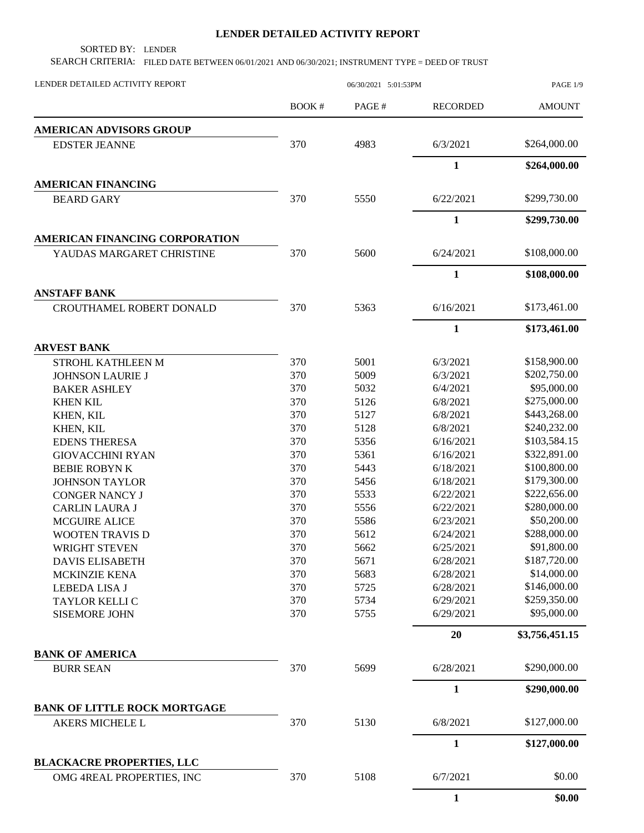## **LENDER DETAILED ACTIVITY REPORT**

SORTED BY: LENDER

SEARCH CRITERIA: FILED DATE BETWEEN 06/01/2021 AND 06/30/2021; INSTRUMENT TYPE = DEED OF TRUST

| LENDER DETAILED ACTIVITY REPORT                               | 06/30/2021 5:01:53PM |       |                 | PAGE 1/9       |
|---------------------------------------------------------------|----------------------|-------|-----------------|----------------|
|                                                               | BOOK #               | PAGE# | <b>RECORDED</b> | <b>AMOUNT</b>  |
| <b>AMERICAN ADVISORS GROUP</b>                                |                      |       |                 |                |
| <b>EDSTER JEANNE</b>                                          | 370                  | 4983  | 6/3/2021        | \$264,000.00   |
|                                                               |                      |       | $\mathbf{1}$    | \$264,000.00   |
| <b>AMERICAN FINANCING</b>                                     |                      |       |                 |                |
| <b>BEARD GARY</b>                                             | 370                  | 5550  | 6/22/2021       | \$299,730.00   |
|                                                               |                      |       | $\mathbf{1}$    | \$299,730.00   |
| AMERICAN FINANCING CORPORATION                                |                      |       |                 |                |
| YAUDAS MARGARET CHRISTINE                                     | 370                  | 5600  | 6/24/2021       | \$108,000.00   |
|                                                               |                      |       | 1               | \$108,000.00   |
| <b>ANSTAFF BANK</b>                                           |                      |       |                 |                |
| <b>CROUTHAMEL ROBERT DONALD</b>                               | 370                  | 5363  | 6/16/2021       | \$173,461.00   |
|                                                               |                      |       | $\mathbf{1}$    | \$173,461.00   |
| <b>ARVEST BANK</b>                                            |                      |       |                 |                |
| STROHL KATHLEEN M                                             | 370                  | 5001  | 6/3/2021        | \$158,900.00   |
| <b>JOHNSON LAURIE J</b>                                       | 370                  | 5009  | 6/3/2021        | \$202,750.00   |
| <b>BAKER ASHLEY</b>                                           | 370                  | 5032  | 6/4/2021        | \$95,000.00    |
| <b>KHEN KIL</b>                                               | 370                  | 5126  | 6/8/2021        | \$275,000.00   |
| KHEN, KIL                                                     | 370                  | 5127  | 6/8/2021        | \$443,268.00   |
| KHEN, KIL                                                     | 370                  | 5128  | 6/8/2021        | \$240,232.00   |
| <b>EDENS THERESA</b>                                          | 370                  | 5356  | 6/16/2021       | \$103,584.15   |
| <b>GIOVACCHINI RYAN</b>                                       | 370                  | 5361  | 6/16/2021       | \$322,891.00   |
| <b>BEBIE ROBYN K</b>                                          | 370                  | 5443  | 6/18/2021       | \$100,800.00   |
| <b>JOHNSON TAYLOR</b>                                         | 370                  | 5456  | 6/18/2021       | \$179,300.00   |
| <b>CONGER NANCY J</b>                                         | 370                  | 5533  | 6/22/2021       | \$222,656.00   |
| <b>CARLIN LAURA J</b>                                         | 370                  | 5556  | 6/22/2021       | \$280,000.00   |
| <b>MCGUIRE ALICE</b>                                          | 370                  | 5586  | 6/23/2021       | \$50,200.00    |
| <b>WOOTEN TRAVIS D</b>                                        | 370                  | 5612  | 6/24/2021       | \$288,000.00   |
| <b>WRIGHT STEVEN</b>                                          | 370                  | 5662  | 6/25/2021       | \$91,800.00    |
| <b>DAVIS ELISABETH</b>                                        | 370                  | 5671  | 6/28/2021       | \$187,720.00   |
| <b>MCKINZIE KENA</b>                                          | 370                  | 5683  | 6/28/2021       | \$14,000.00    |
| LEBEDA LISA J                                                 | 370                  | 5725  | 6/28/2021       | \$146,000.00   |
| <b>TAYLOR KELLI C</b>                                         | 370                  | 5734  | 6/29/2021       | \$259,350.00   |
| <b>SISEMORE JOHN</b>                                          | 370                  | 5755  | 6/29/2021       | \$95,000.00    |
|                                                               |                      |       | 20              | \$3,756,451.15 |
| <b>BANK OF AMERICA</b>                                        |                      |       |                 |                |
| <b>BURR SEAN</b>                                              | 370                  | 5699  | 6/28/2021       | \$290,000.00   |
|                                                               |                      |       | $\mathbf{1}$    | \$290,000.00   |
| <b>BANK OF LITTLE ROCK MORTGAGE</b>                           |                      | 5130  | 6/8/2021        | \$127,000.00   |
| <b>AKERS MICHELE L</b>                                        | 370                  |       |                 |                |
|                                                               |                      |       | 1               | \$127,000.00   |
| <b>BLACKACRE PROPERTIES, LLC</b><br>OMG 4REAL PROPERTIES, INC | 370                  | 5108  | 6/7/2021        | \$0.00         |
|                                                               |                      |       | $\mathbf{1}$    | \$0.00         |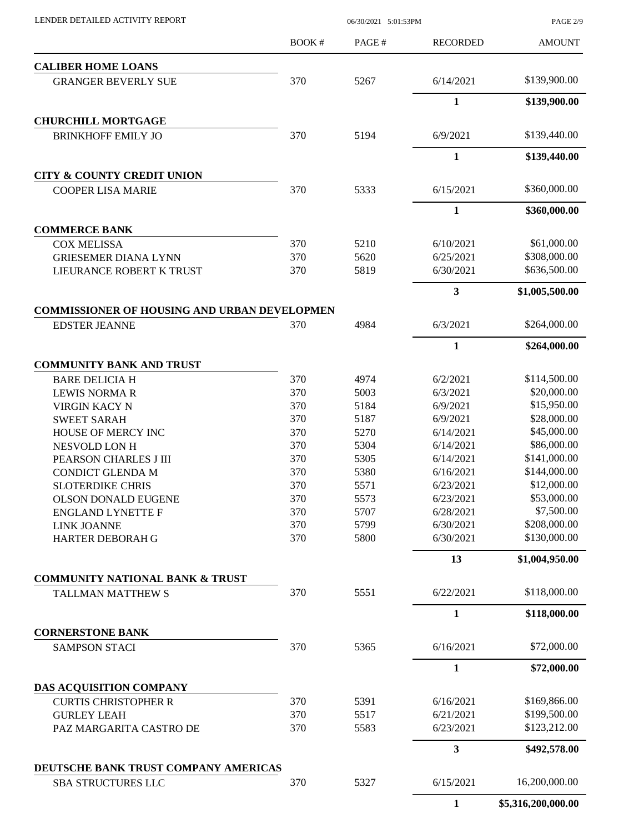| LENDER DETAILED ACTIVITY REPORT                                   | 06/30/2021 5:01:53PM |              |                        | PAGE 2/9                     |  |
|-------------------------------------------------------------------|----------------------|--------------|------------------------|------------------------------|--|
|                                                                   | BOOK #               | PAGE#        | <b>RECORDED</b>        | <b>AMOUNT</b>                |  |
| <b>CALIBER HOME LOANS</b>                                         |                      |              |                        |                              |  |
| <b>GRANGER BEVERLY SUE</b>                                        | 370                  | 5267         | 6/14/2021              | \$139,900.00                 |  |
|                                                                   |                      |              | $\mathbf{1}$           | \$139,900.00                 |  |
| <b>CHURCHILL MORTGAGE</b>                                         |                      |              |                        |                              |  |
| <b>BRINKHOFF EMILY JO</b>                                         | 370                  | 5194         | 6/9/2021               | \$139,440.00                 |  |
|                                                                   |                      |              | 1                      | \$139,440.00                 |  |
| <b>CITY &amp; COUNTY CREDIT UNION</b>                             |                      |              |                        |                              |  |
| <b>COOPER LISA MARIE</b>                                          | 370                  | 5333         | 6/15/2021              | \$360,000.00                 |  |
|                                                                   |                      |              | 1                      | \$360,000.00                 |  |
| <b>COMMERCE BANK</b>                                              |                      |              |                        |                              |  |
| <b>COX MELISSA</b>                                                | 370                  | 5210         | 6/10/2021              | \$61,000.00                  |  |
| <b>GRIESEMER DIANA LYNN</b><br>LIEURANCE ROBERT K TRUST           | 370<br>370           | 5620<br>5819 | 6/25/2021<br>6/30/2021 | \$308,000.00<br>\$636,500.00 |  |
|                                                                   |                      |              | 3                      |                              |  |
| <b>COMMISSIONER OF HOUSING AND URBAN DEVELOPMEN</b>               |                      |              |                        | \$1,005,500.00               |  |
| <b>EDSTER JEANNE</b>                                              | 370                  | 4984         | 6/3/2021               | \$264,000.00                 |  |
|                                                                   |                      |              | 1                      | \$264,000.00                 |  |
| <b>COMMUNITY BANK AND TRUST</b>                                   |                      |              |                        |                              |  |
| <b>BARE DELICIA H</b>                                             | 370                  | 4974         | 6/2/2021               | \$114,500.00                 |  |
| <b>LEWIS NORMAR</b>                                               | 370                  | 5003         | 6/3/2021               | \$20,000.00                  |  |
| <b>VIRGIN KACY N</b>                                              | 370                  | 5184         | 6/9/2021               | \$15,950.00                  |  |
| <b>SWEET SARAH</b>                                                | 370                  | 5187         | 6/9/2021               | \$28,000.00                  |  |
| HOUSE OF MERCY INC                                                | 370                  | 5270         | 6/14/2021              | \$45,000.00                  |  |
| NESVOLD LON H                                                     | 370                  | 5304         | 6/14/2021              | \$86,000.00                  |  |
| PEARSON CHARLES J III                                             | 370                  | 5305         | 6/14/2021              | \$141,000.00                 |  |
| <b>CONDICT GLENDA M</b>                                           | 370                  | 5380         | 6/16/2021              | \$144,000.00                 |  |
| <b>SLOTERDIKE CHRIS</b>                                           | 370                  | 5571         | 6/23/2021              | \$12,000.00                  |  |
| <b>OLSON DONALD EUGENE</b>                                        | 370                  | 5573         | 6/23/2021              | \$53,000.00                  |  |
| <b>ENGLAND LYNETTE F</b>                                          | 370                  | 5707         | 6/28/2021              | \$7,500.00                   |  |
| <b>LINK JOANNE</b>                                                | 370                  | 5799         | 6/30/2021              | \$208,000.00                 |  |
| <b>HARTER DEBORAH G</b>                                           | 370                  | 5800         | 6/30/2021              | \$130,000.00                 |  |
|                                                                   |                      |              | 13                     | \$1,004,950.00               |  |
| <b>COMMUNITY NATIONAL BANK &amp; TRUST</b><br>TALLMAN MATTHEW S   | 370                  | 5551         | 6/22/2021              | \$118,000.00                 |  |
|                                                                   |                      |              | $\mathbf{1}$           | \$118,000.00                 |  |
| <b>CORNERSTONE BANK</b>                                           |                      |              |                        |                              |  |
| <b>SAMPSON STACI</b>                                              | 370                  | 5365         | 6/16/2021              | \$72,000.00                  |  |
|                                                                   |                      |              | $\mathbf{1}$           |                              |  |
|                                                                   |                      |              |                        | \$72,000.00                  |  |
| DAS ACQUISITION COMPANY                                           |                      |              |                        |                              |  |
| <b>CURTIS CHRISTOPHER R</b>                                       | 370                  | 5391         | 6/16/2021              | \$169,866.00                 |  |
| <b>GURLEY LEAH</b>                                                | 370                  | 5517         | 6/21/2021              | \$199,500.00                 |  |
| PAZ MARGARITA CASTRO DE                                           | 370                  | 5583         | 6/23/2021              | \$123,212.00                 |  |
|                                                                   |                      |              | 3                      | \$492,578.00                 |  |
| DEUTSCHE BANK TRUST COMPANY AMERICAS<br><b>SBA STRUCTURES LLC</b> | 370                  | 5327         | 6/15/2021              | 16,200,000.00                |  |
|                                                                   |                      |              | $\mathbf{1}$           | \$5,316,200,000.00           |  |
|                                                                   |                      |              |                        |                              |  |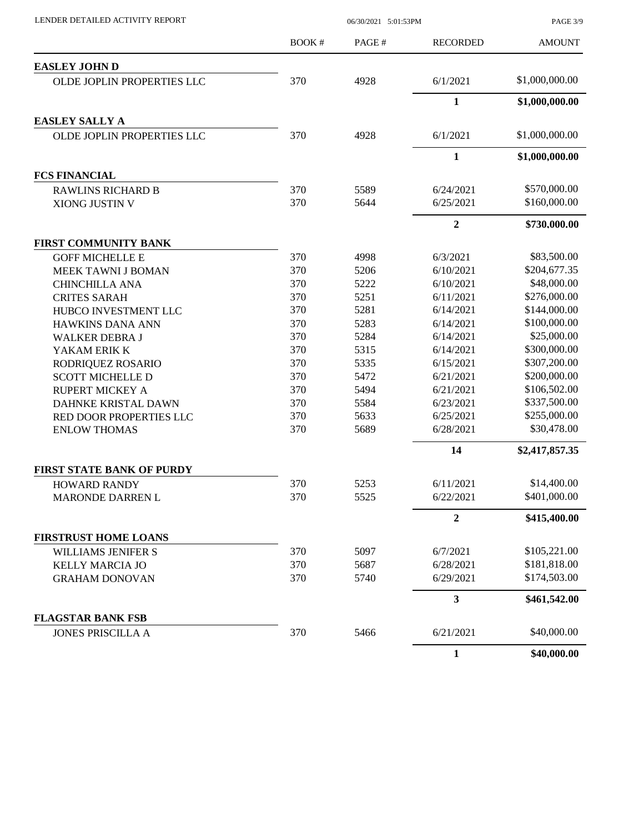| LENDER DETAILED ACTIVITY REPORT |  |
|---------------------------------|--|
|                                 |  |

06/30/2021 5:01:53PM

PAGE 3/9

|                                  | <b>BOOK#</b> | PAGE# | <b>RECORDED</b>         | <b>AMOUNT</b>  |
|----------------------------------|--------------|-------|-------------------------|----------------|
| <b>EASLEY JOHN D</b>             |              |       |                         |                |
| OLDE JOPLIN PROPERTIES LLC       | 370          | 4928  | 6/1/2021                | \$1,000,000.00 |
|                                  |              |       | $\mathbf{1}$            | \$1,000,000.00 |
| <b>EASLEY SALLY A</b>            |              |       |                         |                |
| OLDE JOPLIN PROPERTIES LLC       | 370          | 4928  | 6/1/2021                | \$1,000,000.00 |
|                                  |              |       | $\mathbf{1}$            | \$1,000,000.00 |
| <b>FCS FINANCIAL</b>             |              |       |                         |                |
| <b>RAWLINS RICHARD B</b>         | 370          | 5589  | 6/24/2021               | \$570,000.00   |
| <b>XIONG JUSTIN V</b>            | 370          | 5644  | 6/25/2021               | \$160,000.00   |
|                                  |              |       | $\overline{2}$          | \$730,000.00   |
| FIRST COMMUNITY BANK             |              |       |                         |                |
| <b>GOFF MICHELLE E</b>           | 370          | 4998  | 6/3/2021                | \$83,500.00    |
| MEEK TAWNI J BOMAN               | 370          | 5206  | 6/10/2021               | \$204,677.35   |
| <b>CHINCHILLA ANA</b>            | 370          | 5222  | 6/10/2021               | \$48,000.00    |
| <b>CRITES SARAH</b>              | 370          | 5251  | 6/11/2021               | \$276,000.00   |
| HUBCO INVESTMENT LLC             | 370          | 5281  | 6/14/2021               | \$144,000.00   |
| HAWKINS DANA ANN                 | 370          | 5283  | 6/14/2021               | \$100,000.00   |
| <b>WALKER DEBRA J</b>            | 370          | 5284  | 6/14/2021               | \$25,000.00    |
| YAKAM ERIK K                     | 370          | 5315  | 6/14/2021               | \$300,000.00   |
| RODRIQUEZ ROSARIO                | 370          | 5335  | 6/15/2021               | \$307,200.00   |
| <b>SCOTT MICHELLE D</b>          | 370          | 5472  | 6/21/2021               | \$200,000.00   |
| <b>RUPERT MICKEY A</b>           | 370          | 5494  | 6/21/2021               | \$106,502.00   |
| DAHNKE KRISTAL DAWN              | 370          | 5584  | 6/23/2021               | \$337,500.00   |
| RED DOOR PROPERTIES LLC          | 370          | 5633  | 6/25/2021               | \$255,000.00   |
| <b>ENLOW THOMAS</b>              | 370          | 5689  | 6/28/2021               | \$30,478.00    |
|                                  |              |       | 14                      | \$2,417,857.35 |
| <b>FIRST STATE BANK OF PURDY</b> |              |       |                         |                |
| <b>HOWARD RANDY</b>              | 370          | 5253  | 6/11/2021               | \$14,400.00    |
| MARONDE DARREN L                 | 370          | 5525  | 6/22/2021               | \$401,000.00   |
|                                  |              |       | $\boldsymbol{2}$        | \$415,400.00   |
| <b>FIRSTRUST HOME LOANS</b>      |              |       |                         |                |
| WILLIAMS JENIFER S               | 370          | 5097  | 6/7/2021                | \$105,221.00   |
| <b>KELLY MARCIA JO</b>           | 370          | 5687  | 6/28/2021               | \$181,818.00   |
| <b>GRAHAM DONOVAN</b>            | 370          | 5740  | 6/29/2021               | \$174,503.00   |
|                                  |              |       | $\overline{\mathbf{3}}$ | \$461,542.00   |
| <b>FLAGSTAR BANK FSB</b>         |              |       |                         |                |
| <b>JONES PRISCILLA A</b>         | 370          | 5466  | 6/21/2021               | \$40,000.00    |
|                                  |              |       | $\mathbf{1}$            | \$40,000.00    |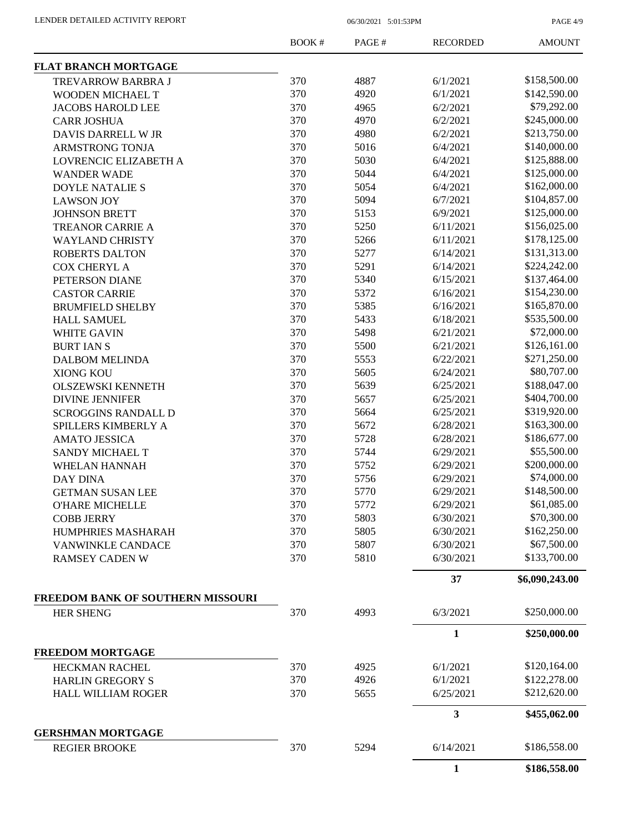PAGE 4/9

|                                   | <b>BOOK#</b> | PAGE# | <b>RECORDED</b> | <b>AMOUNT</b>               |
|-----------------------------------|--------------|-------|-----------------|-----------------------------|
| <b>FLAT BRANCH MORTGAGE</b>       |              |       |                 |                             |
| TREVARROW BARBRA J                | 370          | 4887  | 6/1/2021        | \$158,500.00                |
| <b>WOODEN MICHAEL T</b>           | 370          | 4920  | 6/1/2021        | \$142,590.00                |
| <b>JACOBS HAROLD LEE</b>          | 370          | 4965  | 6/2/2021        | \$79,292.00                 |
| <b>CARR JOSHUA</b>                | 370          | 4970  | 6/2/2021        | \$245,000.00                |
| DAVIS DARRELL W JR                | 370          | 4980  | 6/2/2021        | \$213,750.00                |
| ARMSTRONG TONJA                   | 370          | 5016  | 6/4/2021        | \$140,000.00                |
| LOVRENCIC ELIZABETH A             | 370          | 5030  | 6/4/2021        | \$125,888.00                |
| <b>WANDER WADE</b>                | 370          | 5044  | 6/4/2021        | \$125,000.00                |
| <b>DOYLE NATALIE S</b>            | 370          | 5054  | 6/4/2021        | \$162,000.00                |
| <b>LAWSON JOY</b>                 | 370          | 5094  | 6/7/2021        | \$104,857.00                |
| <b>JOHNSON BRETT</b>              | 370          | 5153  | 6/9/2021        | \$125,000.00                |
| <b>TREANOR CARRIE A</b>           | 370          | 5250  | 6/11/2021       | \$156,025.00                |
| <b>WAYLAND CHRISTY</b>            | 370          | 5266  | 6/11/2021       | \$178,125.00                |
| <b>ROBERTS DALTON</b>             | 370          | 5277  | 6/14/2021       | \$131,313.00                |
| <b>COX CHERYL A</b>               | 370          | 5291  | 6/14/2021       | \$224,242.00                |
| PETERSON DIANE                    | 370          | 5340  | 6/15/2021       | \$137,464.00                |
| <b>CASTOR CARRIE</b>              | 370          | 5372  | 6/16/2021       | \$154,230.00                |
| <b>BRUMFIELD SHELBY</b>           | 370          | 5385  | 6/16/2021       | \$165,870.00                |
| <b>HALL SAMUEL</b>                | 370          | 5433  | 6/18/2021       | \$535,500.00                |
| WHITE GAVIN                       | 370          | 5498  | 6/21/2021       | \$72,000.00                 |
| <b>BURT IAN S</b>                 | 370          | 5500  | 6/21/2021       | \$126,161.00                |
| <b>DALBOM MELINDA</b>             | 370          | 5553  | 6/22/2021       | \$271,250.00                |
| <b>XIONG KOU</b>                  | 370          | 5605  | 6/24/2021       | \$80,707.00                 |
|                                   | 370          | 5639  | 6/25/2021       | \$188,047.00                |
| <b>OLSZEWSKI KENNETH</b>          | 370          | 5657  | 6/25/2021       | \$404,700.00                |
| <b>DIVINE JENNIFER</b>            | 370          | 5664  | 6/25/2021       | \$319,920.00                |
| <b>SCROGGINS RANDALL D</b>        | 370          |       |                 | \$163,300.00                |
| SPILLERS KIMBERLY A               | 370          | 5672  | 6/28/2021       |                             |
| <b>AMATO JESSICA</b>              |              | 5728  | 6/28/2021       | \$186,677.00                |
| SANDY MICHAEL T                   | 370          | 5744  | 6/29/2021       | \$55,500.00                 |
| WHELAN HANNAH                     | 370          | 5752  | 6/29/2021       | \$200,000.00<br>\$74,000.00 |
| DAY DINA                          | 370          | 5756  | 6/29/2021       |                             |
| <b>GETMAN SUSAN LEE</b>           | 370          | 5770  | 6/29/2021       | \$148,500.00                |
| <b>O'HARE MICHELLE</b>            | 370          | 5772  | 6/29/2021       | \$61,085.00                 |
| <b>COBB JERRY</b>                 | 370          | 5803  | 6/30/2021       | \$70,300.00                 |
| HUMPHRIES MASHARAH                | 370          | 5805  | 6/30/2021       | \$162,250.00                |
| <b>VANWINKLE CANDACE</b>          | 370          | 5807  | 6/30/2021       | \$67,500.00                 |
| <b>RAMSEY CADEN W</b>             | 370          | 5810  | 6/30/2021       | \$133,700.00                |
|                                   |              |       | 37              | \$6,090,243.00              |
| FREEDOM BANK OF SOUTHERN MISSOURI |              |       |                 |                             |
| <b>HER SHENG</b>                  | 370          | 4993  | 6/3/2021        | \$250,000.00                |
|                                   |              |       | $\mathbf{1}$    | \$250,000.00                |
| <b>FREEDOM MORTGAGE</b>           |              |       |                 |                             |
| <b>HECKMAN RACHEL</b>             | 370          | 4925  | 6/1/2021        | \$120,164.00                |
| <b>HARLIN GREGORY S</b>           | 370          | 4926  | 6/1/2021        | \$122,278.00                |
| <b>HALL WILLIAM ROGER</b>         | 370          | 5655  | 6/25/2021       | \$212,620.00                |
|                                   |              |       | 3               | \$455,062.00                |
| <b>GERSHMAN MORTGAGE</b>          |              |       |                 |                             |
| <b>REGIER BROOKE</b>              | 370          | 5294  | 6/14/2021       | \$186,558.00                |
|                                   |              |       | $\mathbf{1}$    | \$186,558.00                |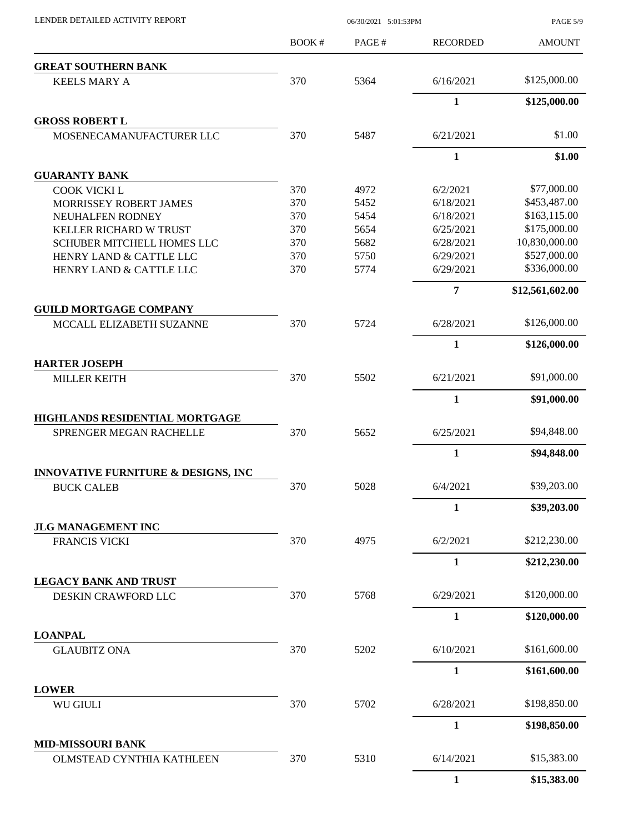|                                                | BOOK# | PAGE# | <b>RECORDED</b> | <b>AMOUNT</b>   |
|------------------------------------------------|-------|-------|-----------------|-----------------|
| <b>GREAT SOUTHERN BANK</b>                     |       |       |                 |                 |
| <b>KEELS MARY A</b>                            | 370   | 5364  | 6/16/2021       | \$125,000.00    |
|                                                |       |       | $\mathbf{1}$    | \$125,000.00    |
| <b>GROSS ROBERT L</b>                          |       |       |                 |                 |
| MOSENECAMANUFACTURER LLC                       | 370   | 5487  | 6/21/2021       | \$1.00          |
|                                                |       |       | $\mathbf{1}$    | \$1.00          |
| <b>GUARANTY BANK</b>                           |       |       |                 |                 |
| <b>COOK VICKIL</b>                             | 370   | 4972  | 6/2/2021        | \$77,000.00     |
| MORRISSEY ROBERT JAMES                         | 370   | 5452  | 6/18/2021       | \$453,487.00    |
| NEUHALFEN RODNEY                               | 370   | 5454  | 6/18/2021       | \$163,115.00    |
| KELLER RICHARD W TRUST                         | 370   | 5654  | 6/25/2021       | \$175,000.00    |
| <b>SCHUBER MITCHELL HOMES LLC</b>              | 370   | 5682  | 6/28/2021       | 10,830,000.00   |
| HENRY LAND & CATTLE LLC                        | 370   | 5750  | 6/29/2021       | \$527,000.00    |
| HENRY LAND & CATTLE LLC                        | 370   | 5774  | 6/29/2021       | \$336,000.00    |
|                                                |       |       | $\overline{7}$  | \$12,561,602.00 |
| <b>GUILD MORTGAGE COMPANY</b>                  | 370   | 5724  | 6/28/2021       | \$126,000.00    |
| MCCALL ELIZABETH SUZANNE                       |       |       |                 |                 |
|                                                |       |       | $\mathbf{1}$    | \$126,000.00    |
| <b>HARTER JOSEPH</b>                           |       | 5502  | 6/21/2021       | \$91,000.00     |
| <b>MILLER KEITH</b>                            | 370   |       |                 |                 |
|                                                |       |       | $\mathbf{1}$    | \$91,000.00     |
| HIGHLANDS RESIDENTIAL MORTGAGE                 |       |       |                 |                 |
| SPRENGER MEGAN RACHELLE                        | 370   | 5652  | 6/25/2021       | \$94,848.00     |
|                                                |       |       | $\mathbf{1}$    | \$94,848.00     |
| <b>INNOVATIVE FURNITURE &amp; DESIGNS, INC</b> |       |       |                 |                 |
| <b>BUCK CALEB</b>                              | 370   | 5028  | 6/4/2021        | \$39,203.00     |
|                                                |       |       | 1               | \$39,203.00     |
| <b>JLG MANAGEMENT INC</b>                      |       |       |                 |                 |
| FRANCIS VICKI                                  | 370   | 4975  | 6/2/2021        | \$212,230.00    |
|                                                |       |       | $\mathbf{1}$    | \$212,230.00    |
| <b>LEGACY BANK AND TRUST</b>                   |       |       |                 | \$120,000.00    |
| DESKIN CRAWFORD LLC                            | 370   | 5768  | 6/29/2021       |                 |
|                                                |       |       | 1               | \$120,000.00    |
| <b>LOANPAL</b>                                 |       |       |                 |                 |
| <b>GLAUBITZ ONA</b>                            | 370   | 5202  | 6/10/2021       | \$161,600.00    |
|                                                |       |       | $\mathbf{1}$    | \$161,600.00    |
| <b>LOWER</b><br>WU GIULI                       | 370   | 5702  | 6/28/2021       | \$198,850.00    |
|                                                |       |       |                 |                 |
| <b>MID-MISSOURI BANK</b>                       |       |       | $\mathbf{1}$    | \$198,850.00    |
| OLMSTEAD CYNTHIA KATHLEEN                      | 370   | 5310  | 6/14/2021       | \$15,383.00     |
|                                                |       |       | 1               | \$15,383.00     |

LENDER DETAILED ACTIVITY REPORT 06/30/2021 5:01:53PM

PAGE 5/9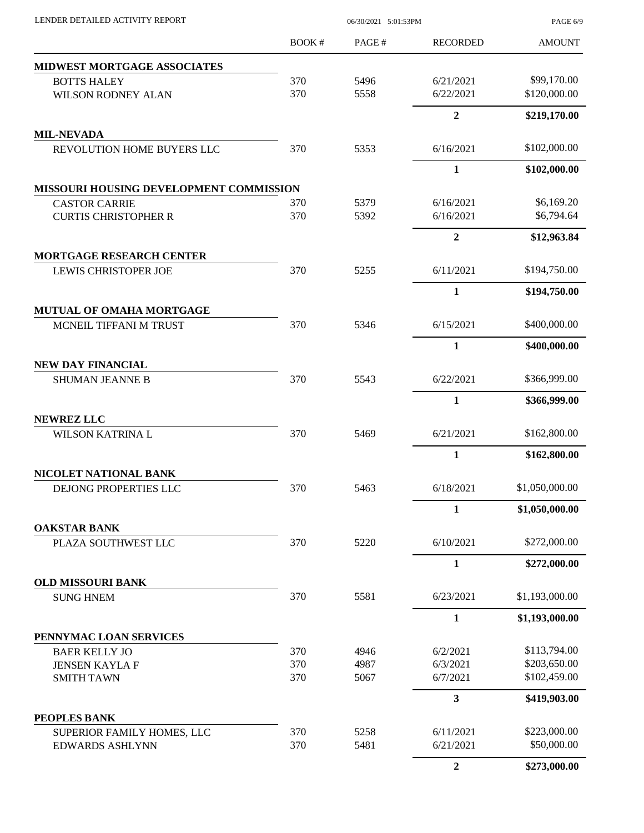| LENDER DETAILED ACTIVITY REPORT                                |              | 06/30/2021 5:01:53PM |                  |                |
|----------------------------------------------------------------|--------------|----------------------|------------------|----------------|
|                                                                | <b>BOOK#</b> | PAGE#                | <b>RECORDED</b>  | <b>AMOUNT</b>  |
| <b>MIDWEST MORTGAGE ASSOCIATES</b>                             |              |                      |                  |                |
| <b>BOTTS HALEY</b>                                             | 370          | 5496                 | 6/21/2021        | \$99,170.00    |
| WILSON RODNEY ALAN                                             | 370          | 5558                 | 6/22/2021        | \$120,000.00   |
|                                                                |              |                      | $\overline{2}$   | \$219,170.00   |
| <b>MIL-NEVADA</b>                                              |              |                      |                  |                |
| REVOLUTION HOME BUYERS LLC                                     | 370          | 5353                 | 6/16/2021        | \$102,000.00   |
|                                                                |              |                      | $\mathbf{1}$     | \$102,000.00   |
| MISSOURI HOUSING DEVELOPMENT COMMISSION                        |              |                      |                  |                |
| <b>CASTOR CARRIE</b>                                           | 370          | 5379                 | 6/16/2021        | \$6,169.20     |
| <b>CURTIS CHRISTOPHER R</b>                                    | 370          | 5392                 | 6/16/2021        | \$6,794.64     |
|                                                                |              |                      | $\mathbf{2}$     | \$12,963.84    |
| <b>MORTGAGE RESEARCH CENTER</b><br><b>LEWIS CHRISTOPER JOE</b> | 370          | 5255                 | 6/11/2021        | \$194,750.00   |
|                                                                |              |                      | $\mathbf{1}$     | \$194,750.00   |
|                                                                |              |                      |                  |                |
| <b>MUTUAL OF OMAHA MORTGAGE</b><br>MCNEIL TIFFANI M TRUST      | 370          | 5346                 | 6/15/2021        | \$400,000.00   |
|                                                                |              |                      | $\mathbf{1}$     | \$400,000.00   |
| NEW DAY FINANCIAL                                              |              |                      |                  |                |
| <b>SHUMAN JEANNE B</b>                                         | 370          | 5543                 | 6/22/2021        | \$366,999.00   |
|                                                                |              |                      | 1                | \$366,999.00   |
| <b>NEWREZ LLC</b>                                              |              |                      |                  |                |
| WILSON KATRINA L                                               | 370          | 5469                 | 6/21/2021        | \$162,800.00   |
|                                                                |              |                      | $\mathbf{1}$     | \$162,800.00   |
| NICOLET NATIONAL BANK                                          |              |                      |                  |                |
| DEJONG PROPERTIES LLC                                          | 370          | 5463                 | 6/18/2021        | \$1,050,000.00 |
|                                                                |              |                      | 1                | \$1,050,000.00 |
| <b>OAKSTAR BANK</b>                                            | 370          | 5220                 | 6/10/2021        | \$272,000.00   |
| PLAZA SOUTHWEST LLC                                            |              |                      |                  |                |
|                                                                |              |                      | $\mathbf{1}$     | \$272,000.00   |
| <b>OLD MISSOURI BANK</b><br><b>SUNG HNEM</b>                   | 370          | 5581                 | 6/23/2021        | \$1,193,000.00 |
|                                                                |              |                      | $\mathbf{1}$     | \$1,193,000.00 |
| PENNYMAC LOAN SERVICES                                         |              |                      |                  |                |
| <b>BAER KELLY JO</b>                                           | 370          | 4946                 | 6/2/2021         | \$113,794.00   |
| <b>JENSEN KAYLA F</b>                                          | 370          | 4987                 | 6/3/2021         | \$203,650.00   |
| <b>SMITH TAWN</b>                                              | 370          | 5067                 | 6/7/2021         | \$102,459.00   |
|                                                                |              |                      | 3                | \$419,903.00   |
| PEOPLES BANK                                                   |              |                      |                  |                |
| SUPERIOR FAMILY HOMES, LLC                                     | 370          | 5258                 | 6/11/2021        | \$223,000.00   |
| <b>EDWARDS ASHLYNN</b>                                         | 370          | 5481                 | 6/21/2021        | \$50,000.00    |
|                                                                |              |                      | $\boldsymbol{2}$ | \$273,000.00   |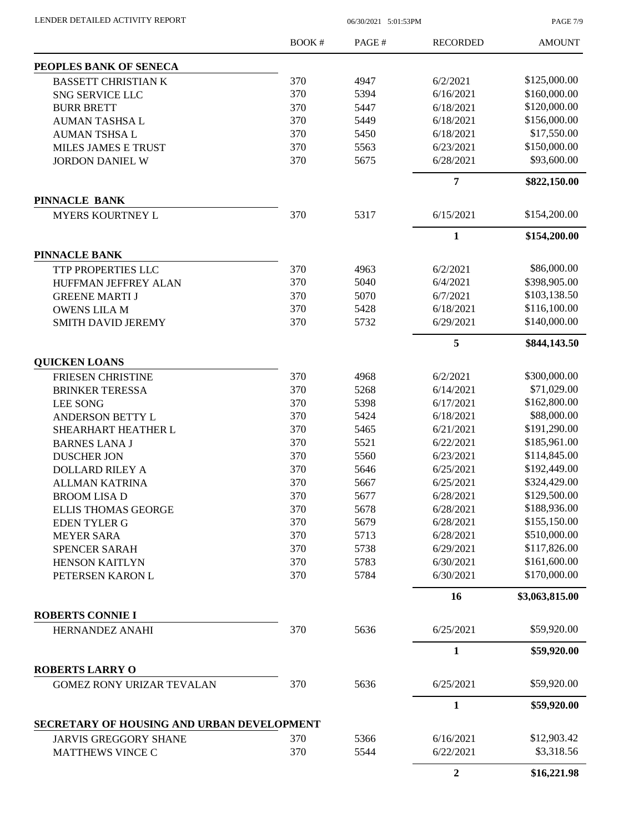| LENDER DETAILED ACTIVITY REPORT |  |
|---------------------------------|--|
|                                 |  |

06/30/2021 5:01:53PM

PAGE 7/9

|                                                  | <b>BOOK#</b> | PAGE#        | <b>RECORDED</b>        | <b>AMOUNT</b>                |
|--------------------------------------------------|--------------|--------------|------------------------|------------------------------|
| PEOPLES BANK OF SENECA                           |              |              |                        |                              |
| <b>BASSETT CHRISTIAN K</b>                       | 370          | 4947         | 6/2/2021               | \$125,000.00                 |
| <b>SNG SERVICE LLC</b>                           | 370          | 5394         | 6/16/2021              | \$160,000.00                 |
| <b>BURR BRETT</b>                                | 370          | 5447         | 6/18/2021              | \$120,000.00                 |
| <b>AUMAN TASHSA L</b>                            | 370          | 5449         | 6/18/2021              | \$156,000.00                 |
| <b>AUMAN TSHSAL</b>                              | 370          | 5450         | 6/18/2021              | \$17,550.00                  |
| MILES JAMES E TRUST                              | 370          | 5563         | 6/23/2021              | \$150,000.00                 |
| <b>JORDON DANIEL W</b>                           | 370          | 5675         | 6/28/2021              | \$93,600.00                  |
|                                                  |              |              | $\overline{7}$         | \$822,150.00                 |
| PINNACLE BANK                                    |              |              |                        |                              |
| MYERS KOURTNEY L                                 | 370          | 5317         | 6/15/2021              | \$154,200.00                 |
|                                                  |              |              | $\mathbf{1}$           | \$154,200.00                 |
| <b>PINNACLE BANK</b>                             |              |              |                        |                              |
| TTP PROPERTIES LLC                               | 370          | 4963         | 6/2/2021               | \$86,000.00                  |
| HUFFMAN JEFFREY ALAN                             | 370          | 5040         | 6/4/2021               | \$398,905.00                 |
| <b>GREENE MARTI J</b>                            | 370          | 5070         | 6/7/2021               | \$103,138.50                 |
| <b>OWENS LILA M</b><br><b>SMITH DAVID JEREMY</b> | 370<br>370   | 5428<br>5732 | 6/18/2021<br>6/29/2021 | \$116,100.00<br>\$140,000.00 |
|                                                  |              |              | 5                      | \$844,143.50                 |
|                                                  |              |              |                        |                              |
| <b>QUICKEN LOANS</b>                             |              |              |                        | \$300,000.00                 |
| <b>FRIESEN CHRISTINE</b>                         | 370<br>370   | 4968         | 6/2/2021               | \$71,029.00                  |
| <b>BRINKER TERESSA</b>                           | 370          | 5268         | 6/14/2021              | \$162,800.00                 |
| <b>LEE SONG</b>                                  |              | 5398         | 6/17/2021              |                              |
| <b>ANDERSON BETTY L</b>                          | 370<br>370   | 5424<br>5465 | 6/18/2021<br>6/21/2021 | \$88,000.00<br>\$191,290.00  |
| SHEARHART HEATHER L                              | 370          |              |                        | \$185,961.00                 |
| <b>BARNES LANA J</b>                             | 370          | 5521<br>5560 | 6/22/2021<br>6/23/2021 | \$114,845.00                 |
| <b>DUSCHER JON</b>                               |              |              | 6/25/2021              | \$192,449.00                 |
| <b>DOLLARD RILEY A</b>                           | 370          | 5646         |                        | \$324,429.00                 |
| <b>ALLMAN KATRINA</b>                            | 370          | 5667         | 6/25/2021              | \$129,500.00                 |
| <b>BROOM LISA D</b>                              | 370          | 5677         | 6/28/2021              |                              |
| <b>ELLIS THOMAS GEORGE</b>                       | 370          | 5678         | 6/28/2021              | \$188,936.00                 |
| <b>EDEN TYLER G</b>                              | 370          | 5679         | 6/28/2021              | \$155,150.00                 |
| <b>MEYER SARA</b>                                | 370          | 5713         | 6/28/2021              | \$510,000.00                 |
| <b>SPENCER SARAH</b>                             | 370          | 5738         | 6/29/2021              | \$117,826.00                 |
| HENSON KAITLYN<br>PETERSEN KARON L               | 370<br>370   | 5783<br>5784 | 6/30/2021<br>6/30/2021 | \$161,600.00<br>\$170,000.00 |
|                                                  |              |              | 16                     |                              |
| <b>ROBERTS CONNIE I</b>                          |              |              |                        | \$3,063,815.00               |
| HERNANDEZ ANAHI                                  | 370          | 5636         | 6/25/2021              | \$59,920.00                  |
|                                                  |              |              | 1                      | \$59,920.00                  |
| <b>ROBERTS LARRY O</b>                           |              |              |                        |                              |
| <b>GOMEZ RONY URIZAR TEVALAN</b>                 | 370          | 5636         | 6/25/2021              | \$59,920.00                  |
|                                                  |              |              | $\mathbf{1}$           | \$59,920.00                  |
| SECRETARY OF HOUSING AND URBAN DEVELOPMENT       |              |              |                        |                              |
| <b>JARVIS GREGGORY SHANE</b>                     | 370          | 5366         | 6/16/2021              | \$12,903.42                  |
| <b>MATTHEWS VINCE C</b>                          | 370          | 5544         | 6/22/2021              | \$3,318.56                   |
|                                                  |              |              | $\overline{2}$         | \$16,221.98                  |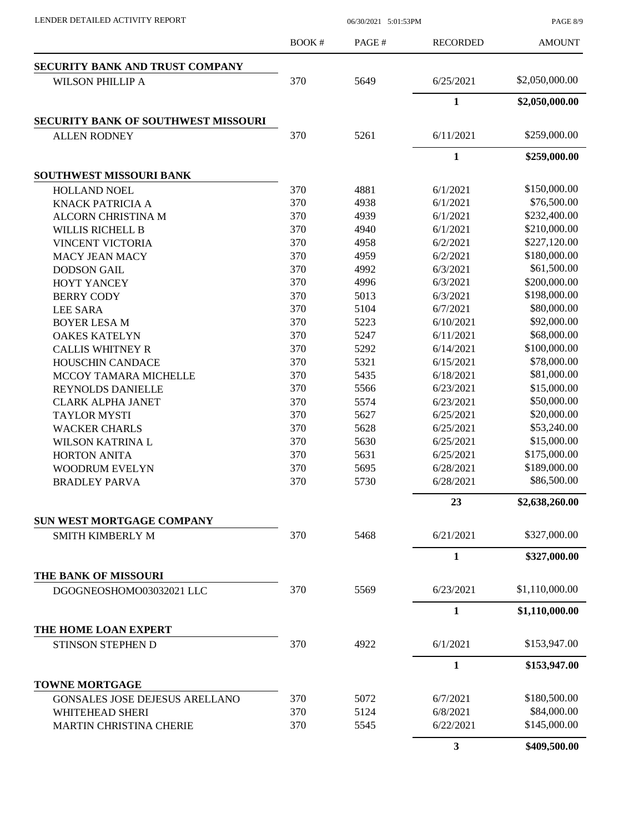PAGE 8/9

|                                            | <b>BOOK#</b> | PAGE# | <b>RECORDED</b> | <b>AMOUNT</b>  |
|--------------------------------------------|--------------|-------|-----------------|----------------|
| SECURITY BANK AND TRUST COMPANY            |              |       |                 |                |
| <b>WILSON PHILLIP A</b>                    | 370          | 5649  | 6/25/2021       | \$2,050,000.00 |
|                                            |              |       | $\mathbf{1}$    | \$2,050,000.00 |
| <b>SECURITY BANK OF SOUTHWEST MISSOURI</b> |              |       |                 |                |
| <b>ALLEN RODNEY</b>                        | 370          | 5261  | 6/11/2021       | \$259,000.00   |
|                                            |              |       | $\mathbf{1}$    | \$259,000.00   |
| <b>SOUTHWEST MISSOURI BANK</b>             |              |       |                 |                |
| <b>HOLLAND NOEL</b>                        | 370          | 4881  | 6/1/2021        | \$150,000.00   |
| <b>KNACK PATRICIA A</b>                    | 370          | 4938  | 6/1/2021        | \$76,500.00    |
| <b>ALCORN CHRISTINA M</b>                  | 370          | 4939  | 6/1/2021        | \$232,400.00   |
| WILLIS RICHELL B                           | 370          | 4940  | 6/1/2021        | \$210,000.00   |
| VINCENT VICTORIA                           | 370          | 4958  | 6/2/2021        | \$227,120.00   |
| <b>MACY JEAN MACY</b>                      | 370          | 4959  | 6/2/2021        | \$180,000.00   |
| <b>DODSON GAIL</b>                         | 370          | 4992  | 6/3/2021        | \$61,500.00    |
| <b>HOYT YANCEY</b>                         | 370          | 4996  | 6/3/2021        | \$200,000.00   |
| <b>BERRY CODY</b>                          | 370          | 5013  | 6/3/2021        | \$198,000.00   |
| <b>LEE SARA</b>                            | 370          | 5104  | 6/7/2021        | \$80,000.00    |
|                                            | 370          | 5223  | 6/10/2021       | \$92,000.00    |
| <b>BOYER LESA M</b>                        | 370          | 5247  | 6/11/2021       | \$68,000.00    |
| <b>OAKES KATELYN</b>                       | 370          |       |                 | \$100,000.00   |
| <b>CALLIS WHITNEY R</b>                    |              | 5292  | 6/14/2021       |                |
| HOUSCHIN CANDACE                           | 370          | 5321  | 6/15/2021       | \$78,000.00    |
| MCCOY TAMARA MICHELLE                      | 370          | 5435  | 6/18/2021       | \$81,000.00    |
| <b>REYNOLDS DANIELLE</b>                   | 370          | 5566  | 6/23/2021       | \$15,000.00    |
| <b>CLARK ALPHA JANET</b>                   | 370          | 5574  | 6/23/2021       | \$50,000.00    |
| <b>TAYLOR MYSTI</b>                        | 370          | 5627  | 6/25/2021       | \$20,000.00    |
| <b>WACKER CHARLS</b>                       | 370          | 5628  | 6/25/2021       | \$53,240.00    |
| WILSON KATRINA L                           | 370          | 5630  | 6/25/2021       | \$15,000.00    |
| <b>HORTON ANITA</b>                        | 370          | 5631  | 6/25/2021       | \$175,000.00   |
| WOODRUM EVELYN                             | 370          | 5695  | 6/28/2021       | \$189,000.00   |
| <b>BRADLEY PARVA</b>                       | 370          | 5730  | 6/28/2021       | \$86,500.00    |
|                                            |              |       | 23              | \$2,638,260.00 |
| SUN WEST MORTGAGE COMPANY                  |              |       |                 |                |
| SMITH KIMBERLY M                           | 370          | 5468  | 6/21/2021       | \$327,000.00   |
|                                            |              |       | $\mathbf{1}$    | \$327,000.00   |
| THE BANK OF MISSOURI                       |              |       |                 | \$1,110,000.00 |
| DGOGNEOSHOMO03032021 LLC                   | 370          | 5569  | 6/23/2021       |                |
|                                            |              |       | $\mathbf{1}$    | \$1,110,000.00 |
| THE HOME LOAN EXPERT<br>STINSON STEPHEN D  | 370          | 4922  | 6/1/2021        | \$153,947.00   |
|                                            |              |       |                 |                |
|                                            |              |       | $\mathbf{1}$    | \$153,947.00   |
| <b>TOWNE MORTGAGE</b>                      |              |       |                 |                |
| GONSALES JOSE DEJESUS ARELLANO             | 370          | 5072  | 6/7/2021        | \$180,500.00   |
| WHITEHEAD SHERI                            | 370          | 5124  | 6/8/2021        | \$84,000.00    |
| <b>MARTIN CHRISTINA CHERIE</b>             | 370          | 5545  | 6/22/2021       | \$145,000.00   |
|                                            |              |       | $\mathbf{3}$    | \$409,500.00   |